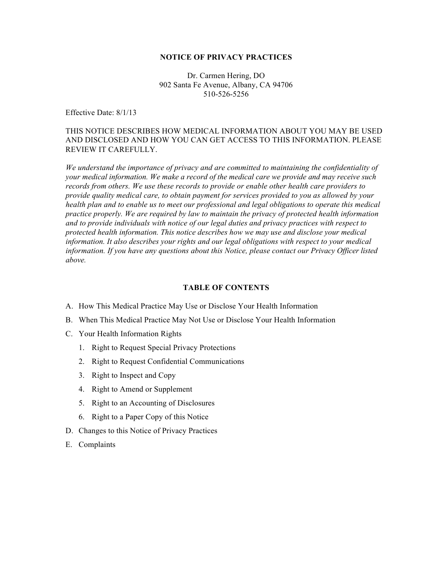#### **NOTICE OF PRIVACY PRACTICES**

Dr. Carmen Hering, DO 902 Santa Fe Avenue, Albany, CA 94706 510-526-5256

Effective Date: 8/1/13

## THIS NOTICE DESCRIBES HOW MEDICAL INFORMATION ABOUT YOU MAY BE USED AND DISCLOSED AND HOW YOU CAN GET ACCESS TO THIS INFORMATION. PLEASE REVIEW IT CAREFULLY.

*We understand the importance of privacy and are committed to maintaining the confidentiality of your medical information. We make a record of the medical care we provide and may receive such records from others. We use these records to provide or enable other health care providers to provide quality medical care, to obtain payment for services provided to you as allowed by your health plan and to enable us to meet our professional and legal obligations to operate this medical practice properly. We are required by law to maintain the privacy of protected health information and to provide individuals with notice of our legal duties and privacy practices with respect to protected health information. This notice describes how we may use and disclose your medical information. It also describes your rights and our legal obligations with respect to your medical information. If you have any questions about this Notice, please contact our Privacy Officer listed above.* 

#### **TABLE OF CONTENTS**

- A. How This Medical Practice May Use or Disclose Your Health Information
- B. When This Medical Practice May Not Use or Disclose Your Health Information
- C. Your Health Information Rights
	- 1. Right to Request Special Privacy Protections
	- 2. Right to Request Confidential Communications
	- 3. Right to Inspect and Copy
	- 4. Right to Amend or Supplement
	- 5. Right to an Accounting of Disclosures
	- 6. Right to a Paper Copy of this Notice
- D. Changes to this Notice of Privacy Practices
- E. Complaints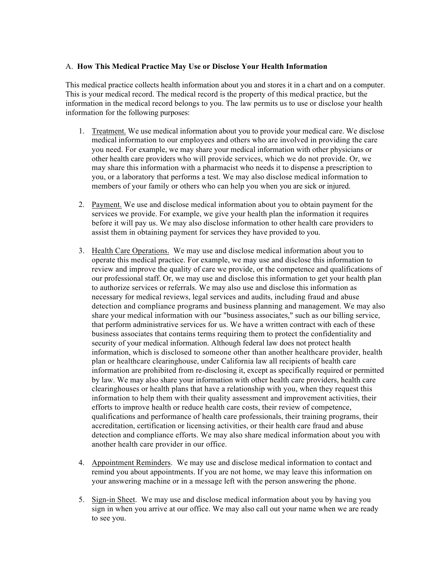## A. **How This Medical Practice May Use or Disclose Your Health Information**

This medical practice collects health information about you and stores it in a chart and on a computer. This is your medical record. The medical record is the property of this medical practice, but the information in the medical record belongs to you. The law permits us to use or disclose your health information for the following purposes:

- 1. Treatment. We use medical information about you to provide your medical care. We disclose medical information to our employees and others who are involved in providing the care you need. For example, we may share your medical information with other physicians or other health care providers who will provide services, which we do not provide. Or, we may share this information with a pharmacist who needs it to dispense a prescription to you, or a laboratory that performs a test. We may also disclose medical information to members of your family or others who can help you when you are sick or injured.
- 2. Payment. We use and disclose medical information about you to obtain payment for the services we provide. For example, we give your health plan the information it requires before it will pay us. We may also disclose information to other health care providers to assist them in obtaining payment for services they have provided to you.
- 3. Health Care Operations. We may use and disclose medical information about you to operate this medical practice. For example, we may use and disclose this information to review and improve the quality of care we provide, or the competence and qualifications of our professional staff. Or, we may use and disclose this information to get your health plan to authorize services or referrals. We may also use and disclose this information as necessary for medical reviews, legal services and audits, including fraud and abuse detection and compliance programs and business planning and management. We may also share your medical information with our "business associates," such as our billing service, that perform administrative services for us. We have a written contract with each of these business associates that contains terms requiring them to protect the confidentiality and security of your medical information. Although federal law does not protect health information, which is disclosed to someone other than another healthcare provider, health plan or healthcare clearinghouse, under California law all recipients of health care information are prohibited from re-disclosing it, except as specifically required or permitted by law. We may also share your information with other health care providers, health care clearinghouses or health plans that have a relationship with you, when they request this information to help them with their quality assessment and improvement activities, their efforts to improve health or reduce health care costs, their review of competence, qualifications and performance of health care professionals, their training programs, their accreditation, certification or licensing activities, or their health care fraud and abuse detection and compliance efforts. We may also share medical information about you with another health care provider in our office.
- 4. Appointment Reminders. We may use and disclose medical information to contact and remind you about appointments. If you are not home, we may leave this information on your answering machine or in a message left with the person answering the phone.
- 5. Sign-in Sheet. We may use and disclose medical information about you by having you sign in when you arrive at our office. We may also call out your name when we are ready to see you.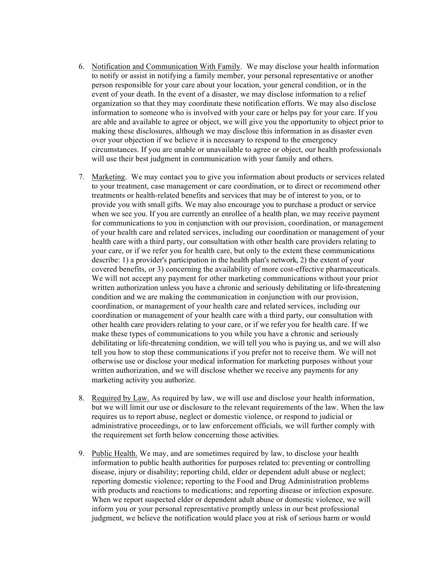- 6. Notification and Communication With Family. We may disclose your health information to notify or assist in notifying a family member, your personal representative or another person responsible for your care about your location, your general condition, or in the event of your death. In the event of a disaster, we may disclose information to a relief organization so that they may coordinate these notification efforts. We may also disclose information to someone who is involved with your care or helps pay for your care. If you are able and available to agree or object, we will give you the opportunity to object prior to making these disclosures, although we may disclose this information in as disaster even over your objection if we believe it is necessary to respond to the emergency circumstances. If you are unable or unavailable to agree or object, our health professionals will use their best judgment in communication with your family and others.
- 7. Marketing. We may contact you to give you information about products or services related to your treatment, case management or care coordination, or to direct or recommend other treatments or health-related benefits and services that may be of interest to you, or to provide you with small gifts. We may also encourage you to purchase a product or service when we see you. If you are currently an enrollee of a health plan, we may receive payment for communications to you in conjunction with our provision, coordination, or management of your health care and related services, including our coordination or management of your health care with a third party, our consultation with other health care providers relating to your care, or if we refer you for health care, but only to the extent these communications describe: 1) a provider's participation in the health plan's network, 2) the extent of your covered benefits, or 3) concerning the availability of more cost-effective pharmaceuticals. We will not accept any payment for other marketing communications without your prior written authorization unless you have a chronic and seriously debilitating or life-threatening condition and we are making the communication in conjunction with our provision, coordination, or management of your health care and related services, including our coordination or management of your health care with a third party, our consultation with other health care providers relating to your care, or if we refer you for health care. If we make these types of communications to you while you have a chronic and seriously debilitating or life-threatening condition, we will tell you who is paying us, and we will also tell you how to stop these communications if you prefer not to receive them. We will not otherwise use or disclose your medical information for marketing purposes without your written authorization, and we will disclose whether we receive any payments for any marketing activity you authorize.
- 8. Required by Law. As required by law, we will use and disclose your health information, but we will limit our use or disclosure to the relevant requirements of the law. When the law requires us to report abuse, neglect or domestic violence, or respond to judicial or administrative proceedings, or to law enforcement officials, we will further comply with the requirement set forth below concerning those activities.
- 9. Public Health. We may, and are sometimes required by law, to disclose your health information to public health authorities for purposes related to: preventing or controlling disease, injury or disability; reporting child, elder or dependent adult abuse or neglect; reporting domestic violence; reporting to the Food and Drug Administration problems with products and reactions to medications; and reporting disease or infection exposure. When we report suspected elder or dependent adult abuse or domestic violence, we will inform you or your personal representative promptly unless in our best professional judgment, we believe the notification would place you at risk of serious harm or would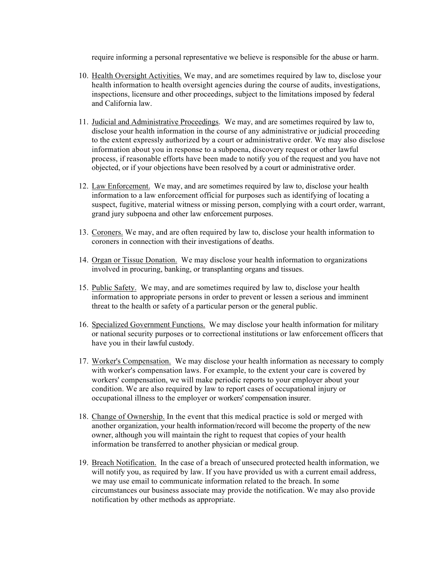require informing a personal representative we believe is responsible for the abuse or harm.

- 10. Health Oversight Activities. We may, and are sometimes required by law to, disclose your health information to health oversight agencies during the course of audits, investigations, inspections, licensure and other proceedings, subject to the limitations imposed by federal and California law.
- 11. Judicial and Administrative Proceedings. We may, and are sometimes required by law to, disclose your health information in the course of any administrative or judicial proceeding to the extent expressly authorized by a court or administrative order. We may also disclose information about you in response to a subpoena, discovery request or other lawful process, if reasonable efforts have been made to notify you of the request and you have not objected, or if your objections have been resolved by a court or administrative order.
- 12. Law Enforcement. We may, and are sometimes required by law to, disclose your health information to a law enforcement official for purposes such as identifying of locating a suspect, fugitive, material witness or missing person, complying with a court order, warrant, grand jury subpoena and other law enforcement purposes.
- 13. Coroners. We may, and are often required by law to, disclose your health information to coroners in connection with their investigations of deaths.
- 14. Organ or Tissue Donation. We may disclose your health information to organizations involved in procuring, banking, or transplanting organs and tissues.
- 15. Public Safety. We may, and are sometimes required by law to, disclose your health information to appropriate persons in order to prevent or lessen a serious and imminent threat to the health or safety of a particular person or the general public.
- 16. Specialized Government Functions. We may disclose your health information for military or national security purposes or to correctional institutions or law enforcement officers that have you in their lawful custody.
- 17. Worker's Compensation. We may disclose your health information as necessary to comply with worker's compensation laws. For example, to the extent your care is covered by workers' compensation, we will make periodic reports to your employer about your condition. We are also required by law to report cases of occupational injury or occupational illness to the employer or workers' compensation insurer.
- 18. Change of Ownership. In the event that this medical practice is sold or merged with another organization, your health information/record will become the property of the new owner, although you will maintain the right to request that copies of your health information be transferred to another physician or medical group.
- 19. Breach Notification. In the case of a breach of unsecured protected health information, we will notify you, as required by law. If you have provided us with a current email address, we may use email to communicate information related to the breach. In some circumstances our business associate may provide the notification. We may also provide notification by other methods as appropriate.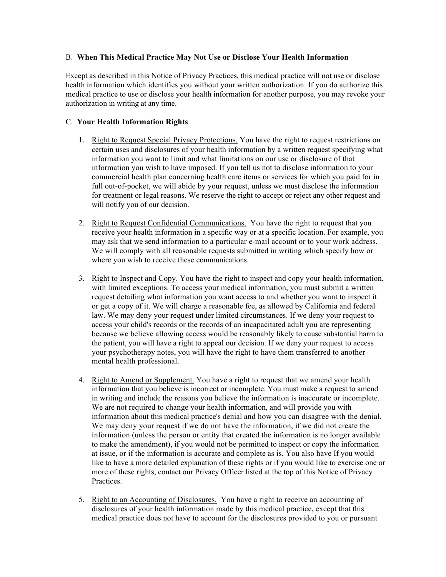## B. **When This Medical Practice May Not Use or Disclose Your Health Information**

Except as described in this Notice of Privacy Practices, this medical practice will not use or disclose health information which identifies you without your written authorization. If you do authorize this medical practice to use or disclose your health information for another purpose, you may revoke your authorization in writing at any time.

# C. **Your Health Information Rights**

- 1. Right to Request Special Privacy Protections. You have the right to request restrictions on certain uses and disclosures of your health information by a written request specifying what information you want to limit and what limitations on our use or disclosure of that information you wish to have imposed. If you tell us not to disclose information to your commercial health plan concerning health care items or services for which you paid for in full out-of-pocket, we will abide by your request, unless we must disclose the information for treatment or legal reasons. We reserve the right to accept or reject any other request and will notify you of our decision.
- 2. Right to Request Confidential Communications. You have the right to request that you receive your health information in a specific way or at a specific location. For example, you may ask that we send information to a particular e-mail account or to your work address. We will comply with all reasonable requests submitted in writing which specify how or where you wish to receive these communications.
- 3. Right to Inspect and Copy. You have the right to inspect and copy your health information, with limited exceptions. To access your medical information, you must submit a written request detailing what information you want access to and whether you want to inspect it or get a copy of it. We will charge a reasonable fee, as allowed by California and federal law. We may deny your request under limited circumstances. If we deny your request to access your child's records or the records of an incapacitated adult you are representing because we believe allowing access would be reasonably likely to cause substantial harm to the patient, you will have a right to appeal our decision. If we deny your request to access your psychotherapy notes, you will have the right to have them transferred to another mental health professional.
- 4. Right to Amend or Supplement. You have a right to request that we amend your health information that you believe is incorrect or incomplete. You must make a request to amend in writing and include the reasons you believe the information is inaccurate or incomplete. We are not required to change your health information, and will provide you with information about this medical practice's denial and how you can disagree with the denial. We may deny your request if we do not have the information, if we did not create the information (unless the person or entity that created the information is no longer available to make the amendment), if you would not be permitted to inspect or copy the information at issue, or if the information is accurate and complete as is. You also have If you would like to have a more detailed explanation of these rights or if you would like to exercise one or more of these rights, contact our Privacy Officer listed at the top of this Notice of Privacy Practices.
- 5. Right to an Accounting of Disclosures. You have a right to receive an accounting of disclosures of your health information made by this medical practice, except that this medical practice does not have to account for the disclosures provided to you or pursuant